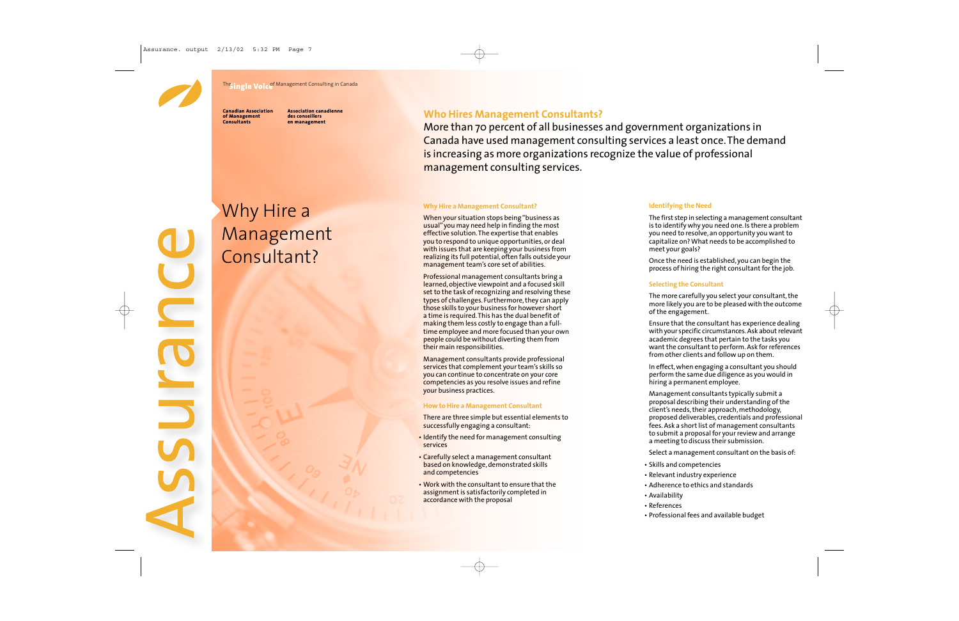

 $\frac{1}{2}$ 

**PJICS** 

E

**The ingle Voice** Management Consulting in Canada

**Canadian Association of Management Consultants**

**Association canadienne des conseillers en management**

# Why Hire a Management Consultant?

## **Who Hires Management Consultants?**

More than 70 percent of all businesses and government organizations in Canada have used management consulting services a least once. The demand is increasing as more organizations recognize the value of professional management consulting services.

#### **Why Hire a Management Consultant?**

When your situation stops being "business as usual" you may need help in finding the most effective solution. The expertise that enables you to respond to unique opportunities, or deal with issues that are keeping your business from realizing its full potential, often falls outside your management team's core set of abilities.

Professional management consultants bring a learned, objective viewpoint and a focused skill set to the task of recognizing and resolving these types of challenges. Furthermore, they can apply those skills to your business for however short a time is required. This has the dual benefit of making them less costly to engage than a fulltime employee and more focused than your own people could be without diverting them from their main responsibilities.

Management consultants provide professional services that complement your team's skills so you can continue to concentrate on your core competencies as you resolve issues and refine your business practices.

#### **How to Hire a Management Consultant**

There are three simple but essential elements to successfully engaging a consultant:

- Identify the need for management consulting services
- Carefully select a management consultant based on knowledge, demonstrated skills and competencies
- Work with the consultant to ensure that the assignment is satisfactorily completed in accordance with the proposal

#### **Identifying the Need**

The first step in selecting a management consultant is to identify why you need one. Is there a problem you need to resolve, an opportunity you want to capitalize on? What needs to be accomplished to meet your goals?

Once the need is established, you can begin the process of hiring the right consultant for the job.

#### **Selecting the Consultant**

The more carefully you select your consultant, the more likely you are to be pleased with the outcome of the engagement.

Ensure that the consultant has experience dealing with your specific circumstances. Ask about relevant academic degrees that pertain to the tasks you want the consultant to perform. Ask for references from other clients and follow up on them.

In effect, when engaging a consultant you should perform the same due diligence as you would in hiring a permanent employee.

Management consultants typically submit a proposal describing their understanding of the client's needs, their approach, methodology, proposed deliverables, credentials and professional fees. Ask a short list of management consultants to submit a proposal for your review and arrange a meeting to discuss their submission.

Select a management consultant on the basis of:

- Skills and competencies
- Relevant industry experience
- Adherence to ethics and standards
- Availability
- References
- Professional fees and available budget